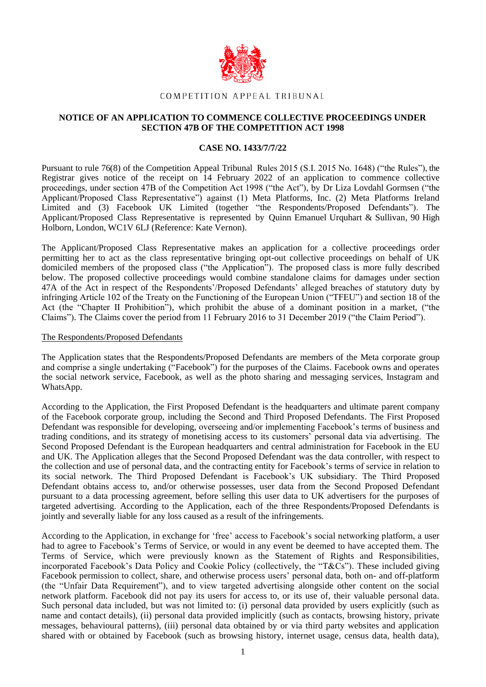

# COMPETITION APPEAL TRIBUNAL

# **NOTICE OF AN APPLICATION TO COMMENCE COLLECTIVE PROCEEDINGS UNDER SECTION 47B OF THE COMPETITION ACT 1998**

# **CASE NO. 1433/7/7/22**

Pursuant to rule 76(8) of the Competition Appeal Tribunal Rules 2015 (S.I. 2015 No. 1648) ("the Rules"), the Registrar gives notice of the receipt on 14 February 2022 of an application to commence collective proceedings, under section 47B of the Competition Act 1998 ("the Act"), by Dr Liza Lovdahl Gormsen ("the Applicant/Proposed Class Representative") against (1) Meta Platforms, Inc. (2) Meta Platforms Ireland Limited and (3) Facebook UK Limited (together "the Respondents/Proposed Defendants"). The Applicant/Proposed Class Representative is represented by Quinn Emanuel Urquhart & Sullivan, 90 High Holborn, London, WC1V 6LJ (Reference: Kate Vernon).

The Applicant/Proposed Class Representative makes an application for a collective proceedings order permitting her to act as the class representative bringing opt-out collective proceedings on behalf of UK domiciled members of the proposed class ("the Application"). The proposed class is more fully described below. The proposed collective proceedings would combine standalone claims for damages under section 47A of the Act in respect of the Respondents'/Proposed Defendants' alleged breaches of statutory duty by infringing Article 102 of the Treaty on the Functioning of the European Union ("TFEU") and section 18 of the Act (the "Chapter II Prohibition"), which prohibit the abuse of a dominant position in a market, ("the Claims"). The Claims cover the period from 11 February 2016 to 31 December 2019 ("the Claim Period").

#### The Respondents/Proposed Defendants

The Application states that the Respondents/Proposed Defendants are members of the Meta corporate group and comprise a single undertaking ("Facebook") for the purposes of the Claims. Facebook owns and operates the social network service, Facebook, as well as the photo sharing and messaging services, Instagram and WhatsApp.

According to the Application, the First Proposed Defendant is the headquarters and ultimate parent company of the Facebook corporate group, including the Second and Third Proposed Defendants. The First Proposed Defendant was responsible for developing, overseeing and/or implementing Facebook's terms of business and trading conditions, and its strategy of monetising access to its customers' personal data via advertising. The Second Proposed Defendant is the European headquarters and central administration for Facebook in the EU and UK. The Application alleges that the Second Proposed Defendant was the data controller, with respect to the collection and use of personal data, and the contracting entity for Facebook's terms of service in relation to its social network. The Third Proposed Defendant is Facebook's UK subsidiary. The Third Proposed Defendant obtains access to, and/or otherwise possesses, user data from the Second Proposed Defendant pursuant to a data processing agreement, before selling this user data to UK advertisers for the purposes of targeted advertising. According to the Application, each of the three Respondents/Proposed Defendants is jointly and severally liable for any loss caused as a result of the infringements.

According to the Application, in exchange for 'free' access to Facebook's social networking platform, a user had to agree to Facebook's Terms of Service, or would in any event be deemed to have accepted them. The Terms of Service, which were previously known as the Statement of Rights and Responsibilities, incorporated Facebook's Data Policy and Cookie Policy (collectively, the "T&Cs"). These included giving Facebook permission to collect, share, and otherwise process users' personal data, both on- and off-platform (the "Unfair Data Requirement"), and to view targeted advertising alongside other content on the social network platform. Facebook did not pay its users for access to, or its use of, their valuable personal data. Such personal data included, but was not limited to: (i) personal data provided by users explicitly (such as name and contact details), (ii) personal data provided implicitly (such as contacts, browsing history, private messages, behavioural patterns), (iii) personal data obtained by or via third party websites and application shared with or obtained by Facebook (such as browsing history, internet usage, census data, health data),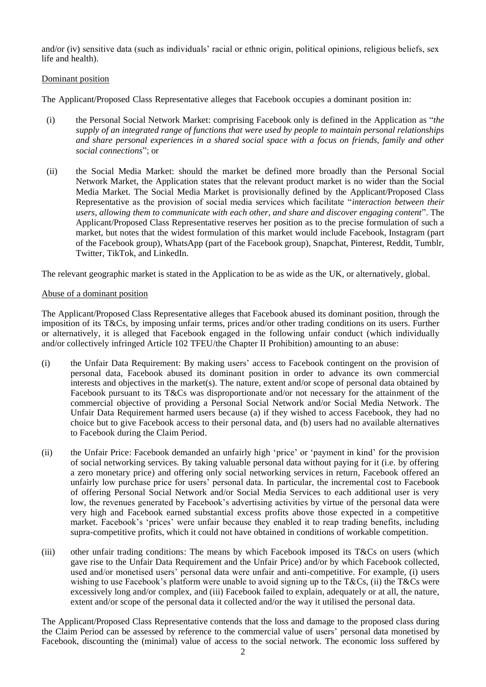and/or (iv) sensitive data (such as individuals' racial or ethnic origin, political opinions, religious beliefs, sex life and health).

# Dominant position

The Applicant/Proposed Class Representative alleges that Facebook occupies a dominant position in:

- (i) the Personal Social Network Market: comprising Facebook only is defined in the Application as "*the supply of an integrated range of functions that were used by people to maintain personal relationships and share personal experiences in a shared social space with a focus on friends, family and other social connections*"; or
- (ii) the Social Media Market: should the market be defined more broadly than the Personal Social Network Market, the Application states that the relevant product market is no wider than the Social Media Market. The Social Media Market is provisionally defined by the Applicant/Proposed Class Representative as the provision of social media services which facilitate "*interaction between their users, allowing them to communicate with each other, and share and discover engaging content*". The Applicant/Proposed Class Representative reserves her position as to the precise formulation of such a market, but notes that the widest formulation of this market would include Facebook, Instagram (part of the Facebook group), WhatsApp (part of the Facebook group), Snapchat, Pinterest, Reddit, Tumblr, Twitter, TikTok, and LinkedIn.

The relevant geographic market is stated in the Application to be as wide as the UK, or alternatively, global.

# Abuse of a dominant position

The Applicant/Proposed Class Representative alleges that Facebook abused its dominant position, through the imposition of its T&Cs, by imposing unfair terms, prices and/or other trading conditions on its users. Further or alternatively, it is alleged that Facebook engaged in the following unfair conduct (which individually and/or collectively infringed Article 102 TFEU/the Chapter II Prohibition) amounting to an abuse:

- (i) the Unfair Data Requirement: By making users' access to Facebook contingent on the provision of personal data, Facebook abused its dominant position in order to advance its own commercial interests and objectives in the market(s). The nature, extent and/or scope of personal data obtained by Facebook pursuant to its T&Cs was disproportionate and/or not necessary for the attainment of the commercial objective of providing a Personal Social Network and/or Social Media Network. The Unfair Data Requirement harmed users because (a) if they wished to access Facebook, they had no choice but to give Facebook access to their personal data, and (b) users had no available alternatives to Facebook during the Claim Period.
- (ii) the Unfair Price: Facebook demanded an unfairly high 'price' or 'payment in kind' for the provision of social networking services. By taking valuable personal data without paying for it (i.e. by offering a zero monetary price) and offering only social networking services in return, Facebook offered an unfairly low purchase price for users' personal data. In particular, the incremental cost to Facebook of offering Personal Social Network and/or Social Media Services to each additional user is very low, the revenues generated by Facebook's advertising activities by virtue of the personal data were very high and Facebook earned substantial excess profits above those expected in a competitive market. Facebook's 'prices' were unfair because they enabled it to reap trading benefits, including supra-competitive profits, which it could not have obtained in conditions of workable competition.
- (iii) other unfair trading conditions: The means by which Facebook imposed its  $T\&Cs$  on users (which gave rise to the Unfair Data Requirement and the Unfair Price) and/or by which Facebook collected, used and/or monetised users' personal data were unfair and anti-competitive. For example, (i) users wishing to use Facebook's platform were unable to avoid signing up to the T&Cs, (ii) the T&Cs were excessively long and/or complex, and (iii) Facebook failed to explain, adequately or at all, the nature, extent and/or scope of the personal data it collected and/or the way it utilised the personal data.

The Applicant/Proposed Class Representative contends that the loss and damage to the proposed class during the Claim Period can be assessed by reference to the commercial value of users' personal data monetised by Facebook, discounting the (minimal) value of access to the social network. The economic loss suffered by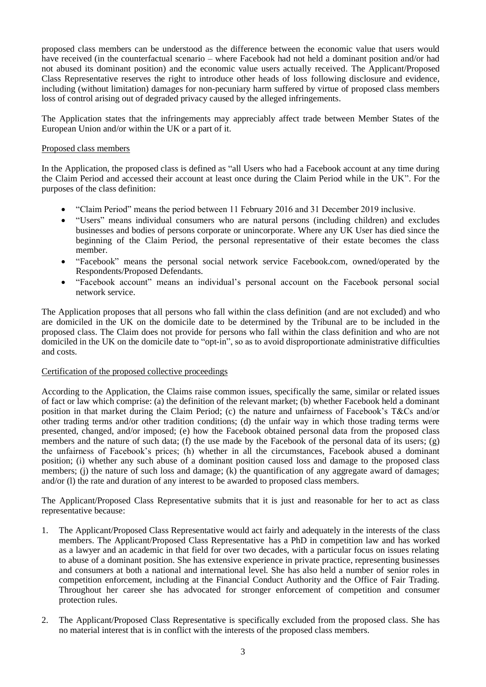proposed class members can be understood as the difference between the economic value that users would have received (in the counterfactual scenario – where Facebook had not held a dominant position and/or had not abused its dominant position) and the economic value users actually received. The Applicant/Proposed Class Representative reserves the right to introduce other heads of loss following disclosure and evidence, including (without limitation) damages for non-pecuniary harm suffered by virtue of proposed class members loss of control arising out of degraded privacy caused by the alleged infringements.

The Application states that the infringements may appreciably affect trade between Member States of the European Union and/or within the UK or a part of it.

# Proposed class members

In the Application, the proposed class is defined as "all Users who had a Facebook account at any time during the Claim Period and accessed their account at least once during the Claim Period while in the UK". For the purposes of the class definition:

- "Claim Period" means the period between 11 February 2016 and 31 December 2019 inclusive.
- "Users" means individual consumers who are natural persons (including children) and excludes businesses and bodies of persons corporate or unincorporate. Where any UK User has died since the beginning of the Claim Period, the personal representative of their estate becomes the class member.
- "Facebook" means the personal social network service Facebook.com, owned/operated by the Respondents/Proposed Defendants.
- "Facebook account" means an individual's personal account on the Facebook personal social network service.

The Application proposes that all persons who fall within the class definition (and are not excluded) and who are domiciled in the UK on the domicile date to be determined by the Tribunal are to be included in the proposed class. The Claim does not provide for persons who fall within the class definition and who are not domiciled in the UK on the domicile date to "opt-in", so as to avoid disproportionate administrative difficulties and costs.

# Certification of the proposed collective proceedings

According to the Application, the Claims raise common issues, specifically the same, similar or related issues of fact or law which comprise: (a) the definition of the relevant market; (b) whether Facebook held a dominant position in that market during the Claim Period; (c) the nature and unfairness of Facebook's T&Cs and/or other trading terms and/or other tradition conditions; (d) the unfair way in which those trading terms were presented, changed, and/or imposed; (e) how the Facebook obtained personal data from the proposed class members and the nature of such data; (f) the use made by the Facebook of the personal data of its users; (g) the unfairness of Facebook's prices; (h) whether in all the circumstances, Facebook abused a dominant position; (i) whether any such abuse of a dominant position caused loss and damage to the proposed class members; (j) the nature of such loss and damage; (k) the quantification of any aggregate award of damages; and/or (l) the rate and duration of any interest to be awarded to proposed class members.

The Applicant/Proposed Class Representative submits that it is just and reasonable for her to act as class representative because:

- 1. The Applicant/Proposed Class Representative would act fairly and adequately in the interests of the class members. The Applicant/Proposed Class Representative has a PhD in competition law and has worked as a lawyer and an academic in that field for over two decades, with a particular focus on issues relating to abuse of a dominant position. She has extensive experience in private practice, representing businesses and consumers at both a national and international level. She has also held a number of senior roles in competition enforcement, including at the Financial Conduct Authority and the Office of Fair Trading. Throughout her career she has advocated for stronger enforcement of competition and consumer protection rules.
- 2. The Applicant/Proposed Class Representative is specifically excluded from the proposed class. She has no material interest that is in conflict with the interests of the proposed class members.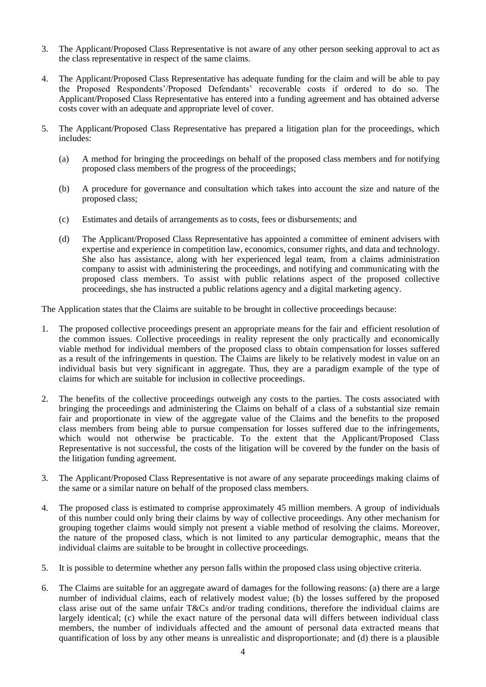- 3. The Applicant/Proposed Class Representative is not aware of any other person seeking approval to act as the class representative in respect of the same claims.
- 4. The Applicant/Proposed Class Representative has adequate funding for the claim and will be able to pay the Proposed Respondents'/Proposed Defendants' recoverable costs if ordered to do so. The Applicant/Proposed Class Representative has entered into a funding agreement and has obtained adverse costs cover with an adequate and appropriate level of cover.
- 5. The Applicant/Proposed Class Representative has prepared a litigation plan for the proceedings, which includes:
	- (a) A method for bringing the proceedings on behalf of the proposed class members and for notifying proposed class members of the progress of the proceedings;
	- (b) A procedure for governance and consultation which takes into account the size and nature of the proposed class;
	- (c) Estimates and details of arrangements as to costs, fees or disbursements; and
	- (d) The Applicant/Proposed Class Representative has appointed a committee of eminent advisers with expertise and experience in competition law, economics, consumer rights, and data and technology. She also has assistance, along with her experienced legal team, from a claims administration company to assist with administering the proceedings, and notifying and communicating with the proposed class members. To assist with public relations aspect of the proposed collective proceedings, she has instructed a public relations agency and a digital marketing agency.

The Application states that the Claims are suitable to be brought in collective proceedings because:

- 1. The proposed collective proceedings present an appropriate means for the fair and efficient resolution of the common issues. Collective proceedings in reality represent the only practically and economically viable method for individual members of the proposed class to obtain compensation for losses suffered as a result of the infringements in question. The Claims are likely to be relatively modest in value on an individual basis but very significant in aggregate. Thus, they are a paradigm example of the type of claims for which are suitable for inclusion in collective proceedings.
- 2. The benefits of the collective proceedings outweigh any costs to the parties. The costs associated with bringing the proceedings and administering the Claims on behalf of a class of a substantial size remain fair and proportionate in view of the aggregate value of the Claims and the benefits to the proposed class members from being able to pursue compensation for losses suffered due to the infringements, which would not otherwise be practicable. To the extent that the Applicant/Proposed Class Representative is not successful, the costs of the litigation will be covered by the funder on the basis of the litigation funding agreement.
- 3. The Applicant/Proposed Class Representative is not aware of any separate proceedings making claims of the same or a similar nature on behalf of the proposed class members.
- 4. The proposed class is estimated to comprise approximately 45 million members. A group of individuals of this number could only bring their claims by way of collective proceedings. Any other mechanism for grouping together claims would simply not present a viable method of resolving the claims. Moreover, the nature of the proposed class, which is not limited to any particular demographic, means that the individual claims are suitable to be brought in collective proceedings.
- 5. It is possible to determine whether any person falls within the proposed class using objective criteria.
- 6. The Claims are suitable for an aggregate award of damages for the following reasons: (a) there are a large number of individual claims, each of relatively modest value; (b) the losses suffered by the proposed class arise out of the same unfair T&Cs and/or trading conditions, therefore the individual claims are largely identical; (c) while the exact nature of the personal data will differs between individual class members, the number of individuals affected and the amount of personal data extracted means that quantification of loss by any other means is unrealistic and disproportionate; and (d) there is a plausible